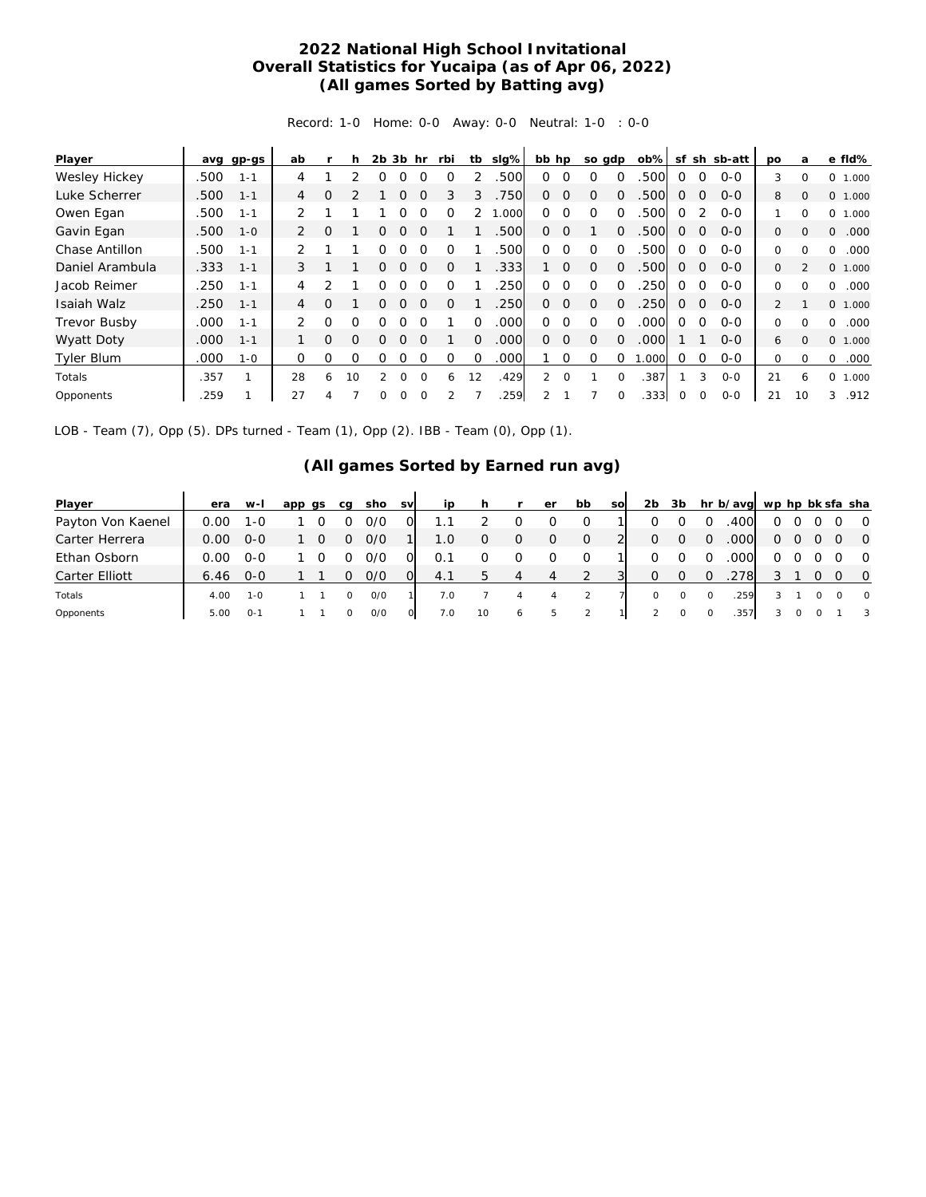## **2022 National High School Invitational Overall Statistics for Yucaipa (as of Apr 06, 2022) (All games Sorted by Batting avg)**

Record: 1-0 Home: 0-0 Away: 0-0 Neutral: 1-0 : 0-0

| Player              | avg  | gp-gs   | ab             |               | h        | 2b             | 3b       | hr       | rbi      | tb       | slg%  | bb hp         |          |          | so gdp   | $ob\%$ | sf       |             | sh sb-att | <b>DO</b>      | a              | e fld%                    |
|---------------------|------|---------|----------------|---------------|----------|----------------|----------|----------|----------|----------|-------|---------------|----------|----------|----------|--------|----------|-------------|-----------|----------------|----------------|---------------------------|
| Wesley Hickey       | .500 | $1 - 1$ | 4              |               |          |                |          |          |          |          | .500  | 0             | $\Omega$ | ∩        | $\Omega$ | .500   | $\Omega$ | $\Omega$    | $O - O$   | 3              | $\Omega$       | 0<br>1.000                |
| Luke Scherrer       | .500 | $1 - 1$ | $\overline{4}$ | O             |          |                | 0        | $\Omega$ | 3        | 3        | 750   | $\Omega$      | $\Omega$ | $\Omega$ | $\Omega$ | .500   | $\Omega$ | $\Omega$    | $O - O$   | 8              | $\Omega$       | O.<br>1.000               |
| Owen Egan           | .500 | $1 - 1$ | 2              |               |          |                |          |          | Ω        |          | 1.000 | 0             | $\Omega$ | $\Omega$ | $\Omega$ | .500   | $\Omega$ |             | $O-O$     |                | $\Omega$       | 0<br>1.000                |
| Gavin Egan          | .500 | $1 - 0$ | 2              | O             |          | O              | O        | $\Omega$ |          |          | .500  | $\Omega$      | $\Omega$ |          | $\Omega$ | .500   | $\Omega$ | $\Omega$    | $O-O$     | 0              | $\Omega$       | 0<br>.000                 |
| Chase Antillon      | .500 | $1 - 1$ |                |               |          | O              | 0        | $\Omega$ | O        |          | .500  | $\Omega$      | $\Omega$ | $\Omega$ | $\Omega$ | .500   | $\Omega$ | $\Omega$    | $0 - 0$   | 0              | $\Omega$       | .000<br>$\Omega$          |
| Daniel Arambula     | .333 | $1 - 1$ | 3              |               |          | 0              | 0        | $\Omega$ | $\Omega$ |          | .333  |               | $\Omega$ | $\Omega$ | $\Omega$ | .500   | $\Omega$ | $\Omega$    | $O-O$     | $\Omega$       | $\mathfrak{D}$ | 0 1.000                   |
| Jacob Reimer        | .250 | $1 - 1$ | 4              | $\mathcal{P}$ |          | Ω              |          | $\cap$   | ∩        |          | 250   | 0             | $\Omega$ | $\Omega$ | $\Omega$ | 250    | $\Omega$ | $\Omega$    | $0 - 0$   | 0              | $\Omega$       | .000<br>0                 |
| Isaiah Walz         | .250 | $1 - 1$ | 4              | Ω             |          | O              | O        | $\Omega$ | Ω        |          | .250  | $\Omega$      | $\Omega$ | $\Omega$ | $\Omega$ | .250   | $\Omega$ | $\Omega$    | $O-O$     | $\overline{2}$ |                | 0 1.000                   |
| <b>Trevor Busby</b> | .000 | $1 - 1$ | 2              | 0             | O        | Ω              |          |          |          | 0        | .000  | 0             | $\Omega$ | $\Omega$ | $\Omega$ | .000   | $\Omega$ | $\Omega$    | $0 - 0$   | 0              | $\Omega$       | .000<br>0                 |
| Wyatt Doty          | .000 | $1 - 1$ |                | $\Omega$      | $\Omega$ | O              | 0        | $\Omega$ |          | $\Omega$ | .000  | $\Omega$      | $\Omega$ | $\Omega$ | $\Omega$ | .000   |          |             | $0 - 0$   | 6              | $\mathbf{0}$   | 0 1.000                   |
| <b>Tyler Blum</b>   | .000 | $1 - 0$ | $\mathbf 0$    | Ω             | O        | 0              |          |          | 0        | $\Omega$ | .000  |               | 0        | $\Omega$ | $\Omega$ | .000   | 0        | $\Omega$    | $0 - 0$   | 0              | $\Omega$       | 0<br>.000                 |
| Totals              | .357 |         | 28             | 6             | 10       | $\mathfrak{D}$ | $\Omega$ | $\Omega$ | 6        | 12       | .429  | $\mathcal{L}$ | $\Omega$ |          | $\Omega$ | .387   |          | 3           | $O - O$   | 21             | 6              | 0<br>000.<br>$\mathbf{1}$ |
| Opponents           | .259 |         | 27             |               |          | 0              | 0        | $\Omega$ |          |          | 259   |               |          |          |          | .333   | 0        | $\mathbf 0$ | $O-O$     | 21             | 10             | 3<br>.912                 |

LOB - Team (7), Opp (5). DPs turned - Team (1), Opp (2). IBB - Team (0), Opp (1).

## **(All games Sorted by Earned run avg)**

| Player                | era  | $W-I$   | app qs | sho<br>ca | <b>SV</b> | ip  |    |              | er | bb | sol | 2b       | 3b       |          | hr b/avg wp hp bk sfa sha |   |   |          |                         |
|-----------------------|------|---------|--------|-----------|-----------|-----|----|--------------|----|----|-----|----------|----------|----------|---------------------------|---|---|----------|-------------------------|
| Payton Von Kaenel     | 0.OO | 1-0     |        | 0/0       |           |     |    |              |    |    |     |          |          |          | .400                      |   |   |          | $\overline{O}$          |
| Carter Herrera        | 0.00 | $O-O$   |        | 0/0<br>0  |           | 1.0 | O  | O            | O  | 0  |     | 0        | $\Omega$ | $\Omega$ | .000                      | 0 | Ω |          | $\overline{0}$          |
| Ethan Osborn          | 0.00 | $O-O$   |        | 0/0       |           |     |    |              |    |    |     |          |          |          | .000                      | 0 |   |          | $\overline{O}$          |
| <b>Carter Elliott</b> | 6.46 | $O-O$   |        | 0/0       |           | 4.1 | h  | 4            | 4  |    |     | $\Omega$ | $\Omega$ | $\Omega$ | .278                      |   |   |          | $\overline{0}$          |
| Totals                | 4.00 | $1 - 0$ |        | O/O       |           | 7.0 |    | 4            | 4  |    |     | $\circ$  |          | 0        | 259                       |   |   | $\Omega$ | $\overline{0}$          |
| Opponents             | 5.00 | $O - 1$ |        | 0/0       |           | 7.0 | 10 | <sup>6</sup> | ь  | 2  |     | 2        |          |          | 357                       |   |   |          | $\overline{\mathbf{3}}$ |